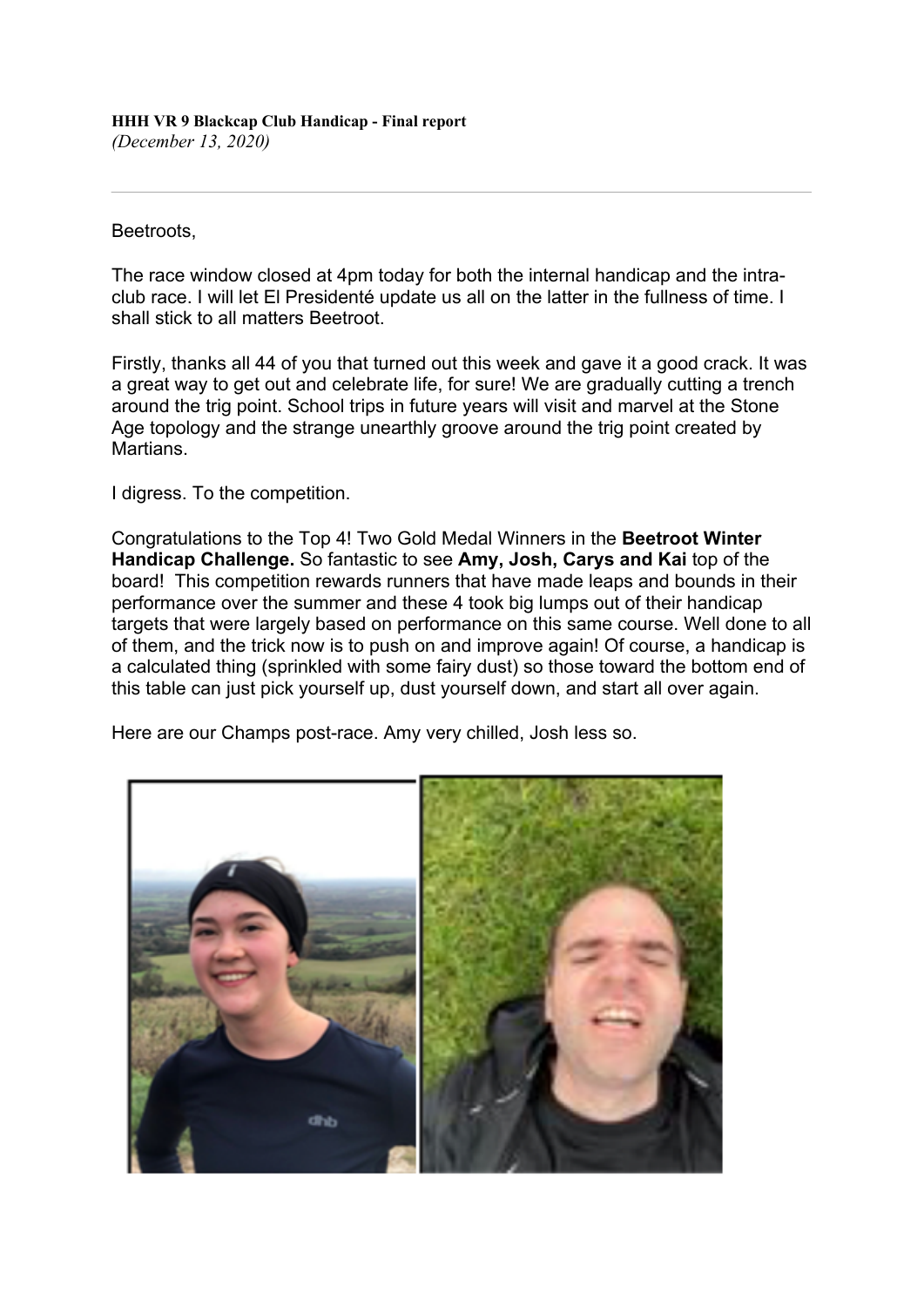Beetroots,

The race window closed at 4pm today for both the internal handicap and the intraclub race. I will let El Presidenté update us all on the latter in the fullness of time. I shall stick to all matters Beetroot.

Firstly, thanks all 44 of you that turned out this week and gave it a good crack. It was a great way to get out and celebrate life, for sure! We are gradually cutting a trench around the trig point. School trips in future years will visit and marvel at the Stone Age topology and the strange unearthly groove around the trig point created by Martians.

I digress. To the competition.

Congratulations to the Top 4! Two Gold Medal Winners in the **Beetroot Winter Handicap Challenge.** So fantastic to see **Amy, Josh, Carys and Kai** top of the board! This competition rewards runners that have made leaps and bounds in their performance over the summer and these 4 took big lumps out of their handicap targets that were largely based on performance on this same course. Well done to all of them, and the trick now is to push on and improve again! Of course, a handicap is a calculated thing (sprinkled with some fairy dust) so those toward the bottom end of this table can just pick yourself up, dust yourself down, and start all over again.

Here are our Champs post-race. Amy very chilled, Josh less so.

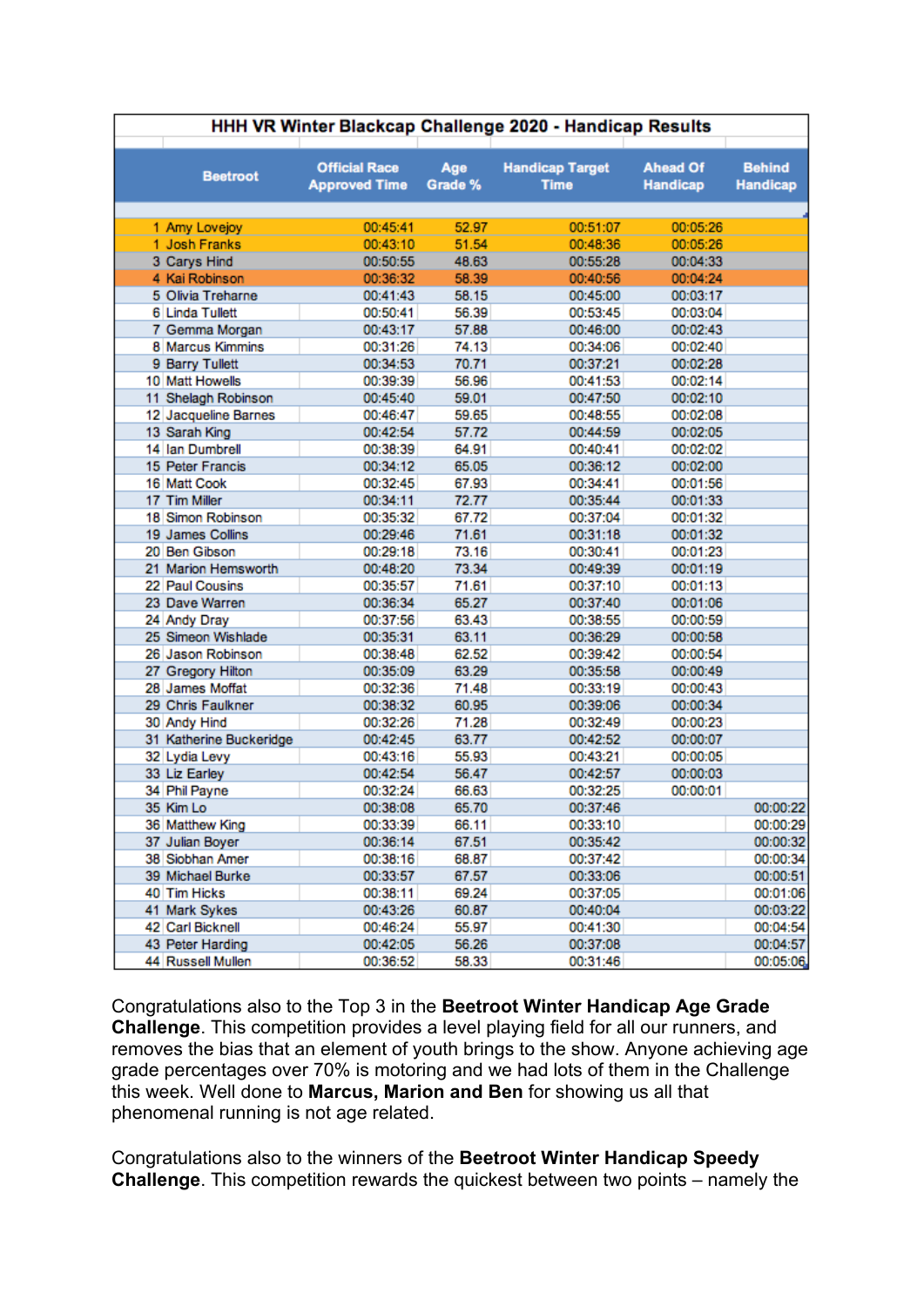| <b>Ahead Of</b><br><b>Official Race</b><br><b>Handicap Target</b><br>Age<br><b>Beetroot</b><br><b>Approved Time</b><br>Grade %<br><b>Time</b><br><b>Handicap</b> | <b>Behind</b><br><b>Handicap</b> |
|------------------------------------------------------------------------------------------------------------------------------------------------------------------|----------------------------------|
| 1 Amy Lovejoy<br>00:45:41<br>52.97<br>00:05:26<br>00:51:07                                                                                                       |                                  |
| 1 Josh Franks<br>51.54<br>00:43:10<br>00:48:36<br>00:05:26                                                                                                       |                                  |
| 3 Carys Hind<br>00:50:55<br>48.63<br>00:55:28<br>00:04:33                                                                                                        |                                  |
| 4 Kai Robinson<br>00:36:32<br>58.39<br>00:40:56<br>00:04:24                                                                                                      |                                  |
| 5 Olivia Treharne<br>00:41:43<br>58.15<br>00:45:00<br>00:03:17                                                                                                   |                                  |
| 6 Linda Tullett<br>00:50:41<br>56.39<br>00:53:45<br>00:03:04                                                                                                     |                                  |
| 00:43:17<br>57.88<br>00:46:00<br>00:02:43<br>7 Gemma Morgan                                                                                                      |                                  |
| 8 Marcus Kimmins<br>00:31:26<br>74.13<br>00:34:06<br>00:02:40                                                                                                    |                                  |
| 70.71<br>9 Barry Tullett<br>00:34:53<br>00:37:21<br>00:02:28                                                                                                     |                                  |
| 10 Matt Howells<br>00:39:39<br>56.96<br>00:02:14<br>00:41:53                                                                                                     |                                  |
| 11 Shelagh Robinson<br>59.01<br>00:47:50<br>00:02:10<br>00:45:40                                                                                                 |                                  |
| 12 Jacqueline Barnes<br>00:46:47<br>59.65<br>00:48:55<br>00:02:08                                                                                                |                                  |
| 57.72<br>13 Sarah King<br>00:42:54<br>00:44:59<br>00:02:05                                                                                                       |                                  |
| 14 Ian Dumbrell<br>00:40:41<br>00:38:39<br>64.91<br>00:02:02                                                                                                     |                                  |
| 65.05<br>15 Peter Francis<br>00:34:12<br>00:36:12<br>00:02:00                                                                                                    |                                  |
| 16 Matt Cook<br>00:32:45<br>67.93<br>00:34:41<br>00:01:56                                                                                                        |                                  |
| 17 Tim Miller<br>00:34:11<br>72.77<br>00:35:44<br>00:01:33                                                                                                       |                                  |
| 18 Simon Robinson<br>00:35:32<br>67.72<br>00:37:04<br>00:01:32                                                                                                   |                                  |
| 00:29:46<br>71.61<br>00:31:18<br>00:01:32<br>19 James Collins                                                                                                    |                                  |
| 20 Ben Gibson<br>00:29:18<br>73.16<br>00:01:23<br>00:30:41                                                                                                       |                                  |
| 21 Marion Hemsworth<br>73.34<br>00:48:20<br>00:49:39<br>00:01:19                                                                                                 |                                  |
| 22 Paul Cousins<br>00:35:57<br>71.61<br>00:37:10<br>00:01:13                                                                                                     |                                  |
| 65.27<br>23 Dave Warren<br>00:36:34<br>00:37:40<br>00:01:06                                                                                                      |                                  |
| 63.43<br>24 Andy Dray<br>00:37:56<br>00:38:55<br>00:00:59                                                                                                        |                                  |
| 25 Simeon Wishlade<br>63.11<br>00:35:31<br>00:36:29<br>00:00:58                                                                                                  |                                  |
| 26 Jason Robinson<br>62.52<br>00:39:42<br>00:00:54<br>00:38:48                                                                                                   |                                  |
| 63.29<br>27 Gregory Hilton<br>00:35:09<br>00:35:58<br>00:00:49                                                                                                   |                                  |
| 28 James Moffat<br>00:32:36<br>71.48<br>00:33:19<br>00:00:43                                                                                                     |                                  |
| 29 Chris Faulkner<br>00:38:32<br>60.95<br>00:39:06<br>00:00:34                                                                                                   |                                  |
| 71.28<br>30 Andy Hind<br>00:32:26<br>00:32:49<br>00:00:23                                                                                                        |                                  |
| 31 Katherine Buckeridge<br>00:42:45<br>63.77<br>00:42:52<br>00:00:07                                                                                             |                                  |
| 55.93<br>32 Lydia Levy<br>00:43:16<br>00:43:21<br>00:00:05                                                                                                       |                                  |
| 33 Liz Earley<br>00:42:54<br>56.47<br>00:42:57<br>00:00:03                                                                                                       |                                  |
| 34 Phil Payne<br>00:32:24<br>66.63<br>00:32:25<br>00:00:01                                                                                                       |                                  |
| 35 Kim Lo<br>00:38:08<br>65.70<br>00:37:46                                                                                                                       | 00:00:22                         |
| 66.11<br>36 Matthew King<br>00:33:39<br>00:33:10                                                                                                                 | 00:00:29                         |
| 37 Julian Boyer<br>00:36:14<br>67.51<br>00:35:42                                                                                                                 | 00:00:32                         |
| 38 Siobhan Amer<br>00:38:16<br>68.87<br>00:37:42                                                                                                                 | 00:00:34                         |
| 39 Michael Burke<br>00:33:57<br>67.57<br>00:33:06                                                                                                                | 00:00:51                         |
| 40 Tim Hicks<br>00:38:11<br>69.24<br>00:37:05                                                                                                                    | 00:01:06                         |
| 41 Mark Sykes<br>00:43:26<br>60.87<br>00:40:04                                                                                                                   | 00:03:22                         |
| 42 Carl Bicknell<br>55.97<br>00:46:24<br>00:41:30                                                                                                                | 00:04:54                         |
| 43 Peter Harding<br>00:42:05<br>56.26<br>00:37:08                                                                                                                | 00:04:57                         |
| 44 Russell Mullen<br>00:36:52<br>58.33<br>00:31:46                                                                                                               | 00:05:06                         |

Congratulations also to the Top 3 in the **Beetroot Winter Handicap Age Grade Challenge**. This competition provides a level playing field for all our runners, and removes the bias that an element of youth brings to the show. Anyone achieving age grade percentages over 70% is motoring and we had lots of them in the Challenge this week. Well done to **Marcus, Marion and Ben** for showing us all that phenomenal running is not age related.

Congratulations also to the winners of the **Beetroot Winter Handicap Speedy Challenge**. This competition rewards the quickest between two points – namely the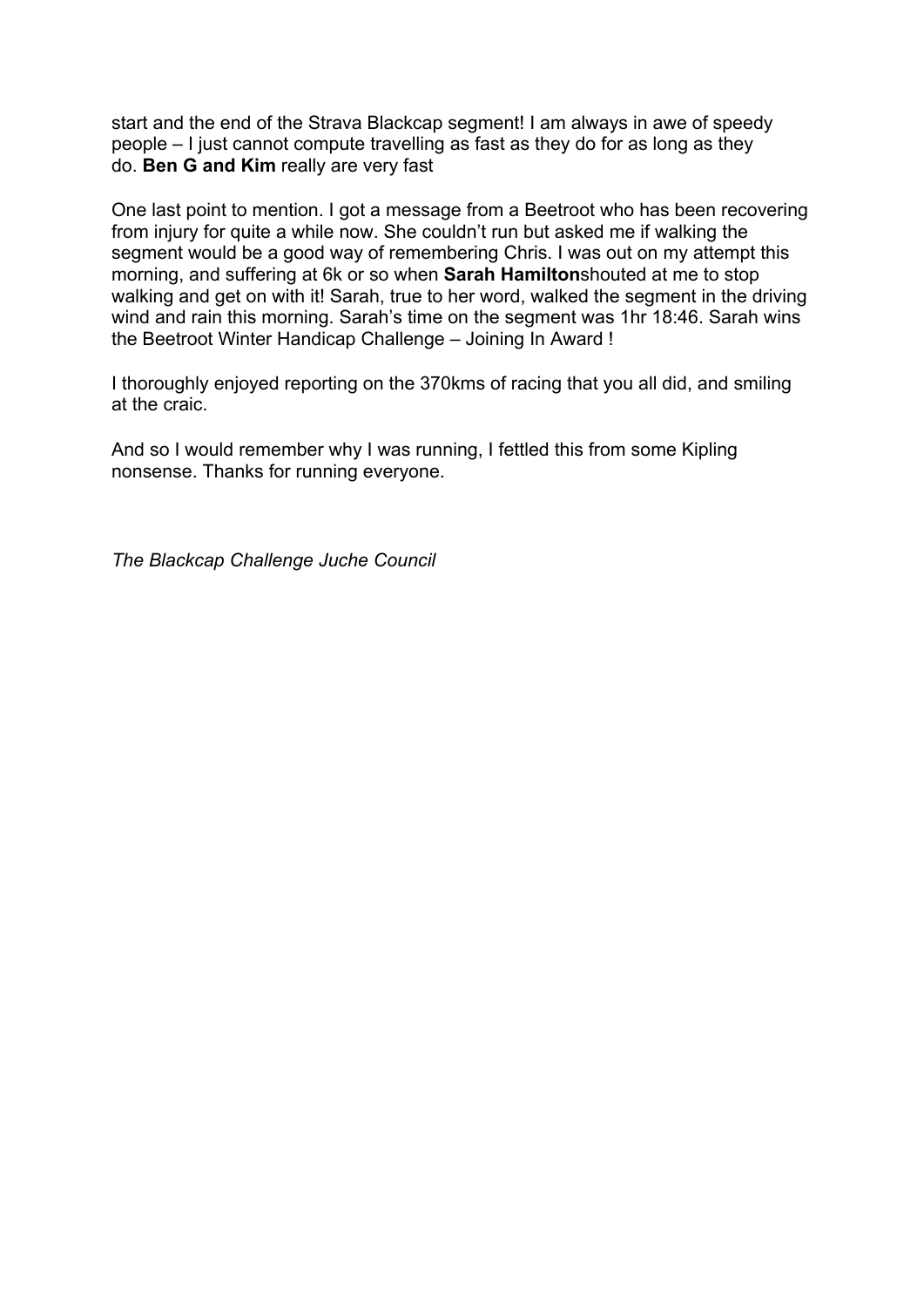start and the end of the Strava Blackcap segment! I am always in awe of speedy people – I just cannot compute travelling as fast as they do for as long as they do. **Ben G and Kim** really are very fast

One last point to mention. I got a message from a Beetroot who has been recovering from injury for quite a while now. She couldn't run but asked me if walking the segment would be a good way of remembering Chris. I was out on my attempt this morning, and suffering at 6k or so when **Sarah Hamilton**shouted at me to stop walking and get on with it! Sarah, true to her word, walked the segment in the driving wind and rain this morning. Sarah's time on the segment was 1hr 18:46. Sarah wins the Beetroot Winter Handicap Challenge – Joining In Award !

I thoroughly enjoyed reporting on the 370kms of racing that you all did, and smiling at the craic.

And so I would remember why I was running, I fettled this from some Kipling nonsense. Thanks for running everyone.

*The Blackcap Challenge Juche Council*